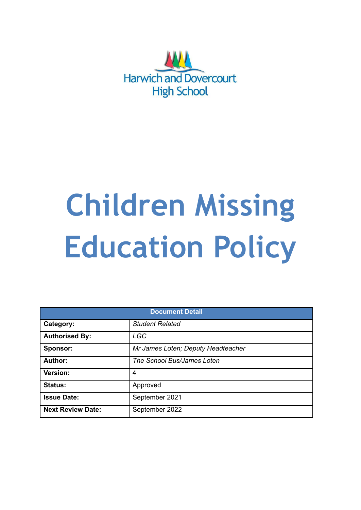

# **Children Missing Education Policy**

| <b>Document Detail</b>   |                                    |  |  |
|--------------------------|------------------------------------|--|--|
| Category:                | <b>Student Related</b>             |  |  |
| <b>Authorised By:</b>    | <b>LGC</b>                         |  |  |
| Sponsor:                 | Mr James Loten; Deputy Headteacher |  |  |
| Author:                  | The School Bus/James Loten         |  |  |
| Version:                 | 4                                  |  |  |
| <b>Status:</b>           | Approved                           |  |  |
| <b>Issue Date:</b>       | September 2021                     |  |  |
| <b>Next Review Date:</b> | September 2022                     |  |  |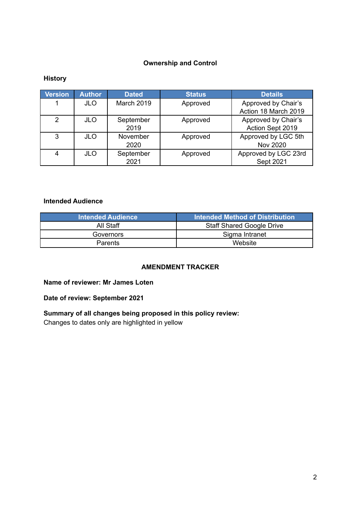## **Ownership and Control**

## **History**

| <b>Version</b> | <b>Author</b> | <b>Dated</b> | <b>Status</b> | <b>Details</b>       |
|----------------|---------------|--------------|---------------|----------------------|
|                | <b>JLO</b>    | March 2019   | Approved      | Approved by Chair's  |
|                |               |              |               | Action 18 March 2019 |
| 2              | <b>JLO</b>    | September    | Approved      | Approved by Chair's  |
|                |               | 2019         |               | Action Sept 2019     |
| 3              | <b>JLO</b>    | November     | Approved      | Approved by LGC 5th  |
|                |               | 2020         |               | <b>Nov 2020</b>      |
| 4              | <b>JLO</b>    | September    | Approved      | Approved by LGC 23rd |
|                |               | 2021         |               | Sept 2021            |

#### **Intended Audience**

| <b>Intended Audience</b> | Intended Method of Distribution  |
|--------------------------|----------------------------------|
| All Staff                | <b>Staff Shared Google Drive</b> |
| Governors                | Sigma Intranet                   |
| <b>Parents</b>           | Website                          |

#### **AMENDMENT TRACKER**

#### **Name of reviewer: Mr James Loten**

## **Date of review: September 2021**

## **Summary of all changes being proposed in this policy review:** Changes to dates only are highlighted in yellow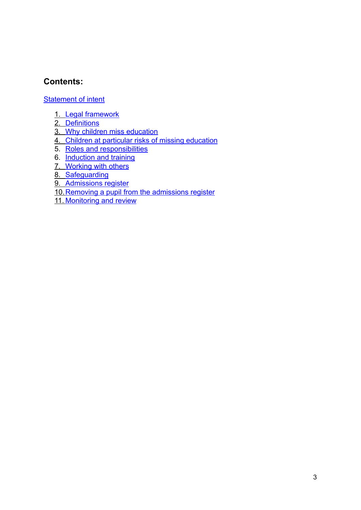# **Contents:**

[Statement of intent](https://docs.google.com/document/d/1QjMwi8rs4Y2bZkd1mo__JNNzNA-fIRtw7pY6rTygSro/edit?ts=5c8a3165#heading=h.1fob9te)

- 1. [Legal framework](https://docs.google.com/document/d/1QjMwi8rs4Y2bZkd1mo__JNNzNA-fIRtw7pY6rTygSro/edit?ts=5c8a3165#heading=h.tyjcwt)
- 2. [Definitions](https://docs.google.com/document/d/1QjMwi8rs4Y2bZkd1mo__JNNzNA-fIRtw7pY6rTygSro/edit?ts=5c8a3165#heading=h.3dy6vkm)
- 3. [Why children miss education](https://docs.google.com/document/d/1QjMwi8rs4Y2bZkd1mo__JNNzNA-fIRtw7pY6rTygSro/edit?ts=5c8a3165#heading=h.1t3h5sf)
- 4. [Children at particular risks of missing education](https://docs.google.com/document/d/1QjMwi8rs4Y2bZkd1mo__JNNzNA-fIRtw7pY6rTygSro/edit?ts=5c8a3165#heading=h.4d34og8)
- 5. [Roles and responsibilities](https://docs.google.com/document/d/1QjMwi8rs4Y2bZkd1mo__JNNzNA-fIRtw7pY6rTygSro/edit?ts=5c8a3165#heading=h.2s8eyo1)
- 6. [Induction and training](https://docs.google.com/document/d/1QjMwi8rs4Y2bZkd1mo__JNNzNA-fIRtw7pY6rTygSro/edit?ts=5c8a3165#heading=h.17dp8vu)
- 7. [Working with others](https://docs.google.com/document/d/1QjMwi8rs4Y2bZkd1mo__JNNzNA-fIRtw7pY6rTygSro/edit?ts=5c8a3165#heading=h.3rdcrjn)
- 8. [Safeguarding](https://docs.google.com/document/d/1QjMwi8rs4Y2bZkd1mo__JNNzNA-fIRtw7pY6rTygSro/edit?ts=5c8a3165#heading=h.26in1rg)
- 9. [Admissions register](https://docs.google.com/document/d/1QjMwi8rs4Y2bZkd1mo__JNNzNA-fIRtw7pY6rTygSro/edit?ts=5c8a3165#heading=h.lnxbz9)
- 10.[Removing a pupil from the admissions register](https://docs.google.com/document/d/1QjMwi8rs4Y2bZkd1mo__JNNzNA-fIRtw7pY6rTygSro/edit?ts=5c8a3165#heading=h.35nkun2)
- 11. [Monitoring and review](https://docs.google.com/document/d/1QjMwi8rs4Y2bZkd1mo__JNNzNA-fIRtw7pY6rTygSro/edit?ts=5c8a3165#heading=h.44sinio)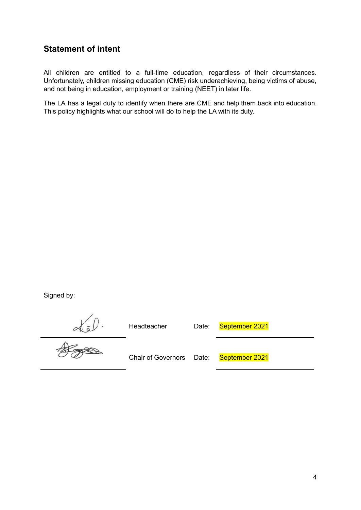# **Statement of intent**

All children are entitled to a full-time education, regardless of their circumstances. Unfortunately, children missing education (CME) risk underachieving, being victims of abuse, and not being in education, employment or training (NEET) in later life.

The LA has a legal duty to identify when there are CME and help them back into education. This policy highlights what our school will do to help the LA with its duty.

Signed by:

Headteacher Date: September 2021

 $\frac{d}{dt}$ 

Chair of Governors Date: September 2021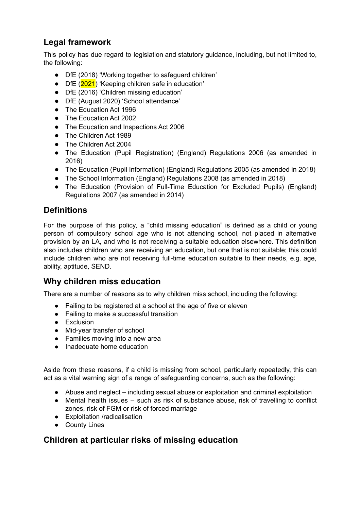# **Legal framework**

This policy has due regard to legislation and statutory guidance, including, but not limited to, the following:

- DfE (2018) 'Working together to safeguard children'
- DfE (2021) 'Keeping children safe in education'
- DfE (2016) 'Children missing education'
- DfE (August 2020) 'School attendance'
- The Education Act 1996
- The Education Act 2002
- The Education and Inspections Act 2006
- The Children Act 1989
- The Children Act 2004
- The Education (Pupil Registration) (England) Regulations 2006 (as amended in 2016)
- The Education (Pupil Information) (England) Regulations 2005 (as amended in 2018)
- The School Information (England) Regulations 2008 (as amended in 2018)
- The Education (Provision of Full-Time Education for Excluded Pupils) (England) Regulations 2007 (as amended in 2014)

# **Definitions**

For the purpose of this policy, a "child missing education" is defined as a child or young person of compulsory school age who is not attending school, not placed in alternative provision by an LA, and who is not receiving a suitable education elsewhere. This definition also includes children who are receiving an education, but one that is not suitable; this could include children who are not receiving full-time education suitable to their needs, e.g. age, ability, aptitude, SEND.

## **Why children miss education**

There are a number of reasons as to why children miss school, including the following:

- Failing to be registered at a school at the age of five or eleven
- Failing to make a successful transition
- Exclusion
- Mid-year transfer of school
- Families moving into a new area
- Inadequate home education

Aside from these reasons, if a child is missing from school, particularly repeatedly, this can act as a vital warning sign of a range of safeguarding concerns, such as the following:

- Abuse and neglect including sexual abuse or exploitation and criminal exploitation
- Mental health issues such as risk of substance abuse, risk of travelling to conflict zones, risk of FGM or risk of forced marriage
- Exploitation /radicalisation
- County Lines

# **Children at particular risks of missing education**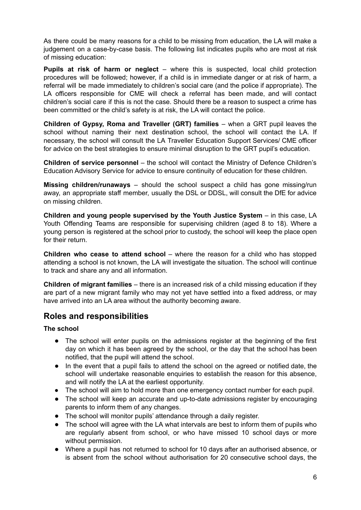As there could be many reasons for a child to be missing from education, the LA will make a judgement on a case-by-case basis. The following list indicates pupils who are most at risk of missing education:

**Pupils at risk of harm or neglect** – where this is suspected, local child protection procedures will be followed; however, if a child is in immediate danger or at risk of harm, a referral will be made immediately to children's social care (and the police if appropriate). The LA officers responsible for CME will check a referral has been made, and will contact children's social care if this is not the case. Should there be a reason to suspect a crime has been committed or the child's safety is at risk, the LA will contact the police.

**Children of Gypsy, Roma and Traveller (GRT) families** – when a GRT pupil leaves the school without naming their next destination school, the school will contact the LA. If necessary, the school will consult the LA Traveller Education Support Services/ CME officer for advice on the best strategies to ensure minimal disruption to the GRT pupil's education.

**Children of service personnel** – the school will contact the Ministry of Defence Children's Education Advisory Service for advice to ensure continuity of education for these children.

**Missing children/runaways** – should the school suspect a child has gone missing/run away, an appropriate staff member, usually the DSL or DDSL, will consult the DfE for advice on missing children.

**Children and young people supervised by the Youth Justice System** – in this case, LA Youth Offending Teams are responsible for supervising children (aged 8 to 18). Where a young person is registered at the school prior to custody, the school will keep the place open for their return.

**Children who cease to attend school** – where the reason for a child who has stopped attending a school is not known, the LA will investigate the situation. The school will continue to track and share any and all information.

**Children of migrant families** – there is an increased risk of a child missing education if they are part of a new migrant family who may not yet have settled into a fixed address, or may have arrived into an LA area without the authority becoming aware.

# **Roles and responsibilities**

#### **The school**

- The school will enter pupils on the admissions register at the beginning of the first day on which it has been agreed by the school, or the day that the school has been notified, that the pupil will attend the school.
- In the event that a pupil fails to attend the school on the agreed or notified date, the school will undertake reasonable enquiries to establish the reason for this absence, and will notify the LA at the earliest opportunity.
- The school will aim to hold more than one emergency contact number for each pupil.
- The school will keep an accurate and up-to-date admissions register by encouraging parents to inform them of any changes.
- The school will monitor pupils' attendance through a daily register.
- The school will agree with the LA what intervals are best to inform them of pupils who are regularly absent from school, or who have missed 10 school days or more without permission.
- Where a pupil has not returned to school for 10 days after an authorised absence, or is absent from the school without authorisation for 20 consecutive school days, the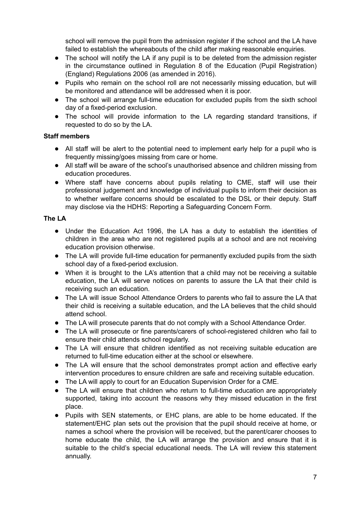school will remove the pupil from the admission register if the school and the LA have failed to establish the whereabouts of the child after making reasonable enquiries.

- The school will notify the LA if any pupil is to be deleted from the admission register in the circumstance outlined in Regulation 8 of the Education (Pupil Registration) (England) Regulations 2006 (as amended in 2016).
- Pupils who remain on the school roll are not necessarily missing education, but will be monitored and attendance will be addressed when it is poor.
- The school will arrange full-time education for excluded pupils from the sixth school day of a fixed-period exclusion.
- The school will provide information to the LA regarding standard transitions, if requested to do so by the LA.

#### **Staff members**

- All staff will be alert to the potential need to implement early help for a pupil who is frequently missing/goes missing from care or home.
- All staff will be aware of the school's unauthorised absence and children missing from education procedures.
- Where staff have concerns about pupils relating to CME, staff will use their professional judgement and knowledge of individual pupils to inform their decision as to whether welfare concerns should be escalated to the DSL or their deputy. Staff may disclose via the HDHS: Reporting a Safeguarding Concern Form.

#### **The LA**

- Under the Education Act 1996, the LA has a duty to establish the identities of children in the area who are not registered pupils at a school and are not receiving education provision otherwise.
- The LA will provide full-time education for permanently excluded pupils from the sixth school day of a fixed-period exclusion.
- When it is brought to the LA's attention that a child may not be receiving a suitable education, the LA will serve notices on parents to assure the LA that their child is receiving such an education.
- The LA will issue School Attendance Orders to parents who fail to assure the LA that their child is receiving a suitable education, and the LA believes that the child should attend school.
- The LA will prosecute parents that do not comply with a School Attendance Order.
- The LA will prosecute or fine parents/carers of school-registered children who fail to ensure their child attends school regularly.
- The LA will ensure that children identified as not receiving suitable education are returned to full-time education either at the school or elsewhere.
- The LA will ensure that the school demonstrates prompt action and effective early intervention procedures to ensure children are safe and receiving suitable education.
- The LA will apply to court for an Education Supervision Order for a CME.
- The LA will ensure that children who return to full-time education are appropriately supported, taking into account the reasons why they missed education in the first place.
- Pupils with SEN statements, or EHC plans, are able to be home educated. If the statement/EHC plan sets out the provision that the pupil should receive at home, or names a school where the provision will be received, but the parent/carer chooses to home educate the child, the LA will arrange the provision and ensure that it is suitable to the child's special educational needs. The LA will review this statement annually.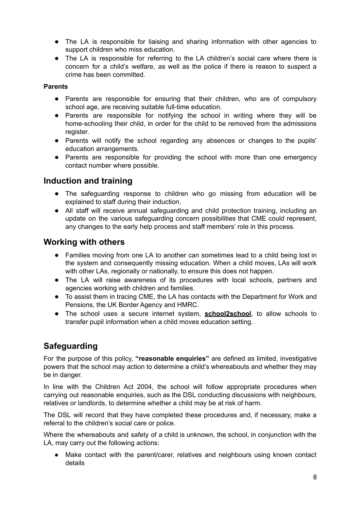- The LA is responsible for liaising and sharing information with other agencies to support children who miss education.
- The LA is responsible for referring to the LA children's social care where there is concern for a child's welfare, as well as the police if there is reason to suspect a crime has been committed.

#### **Parents**

- Parents are responsible for ensuring that their children, who are of compulsory school age, are receiving suitable full-time education.
- Parents are responsible for notifying the school in writing where they will be home-schooling their child, in order for the child to be removed from the admissions register.
- Parents will notify the school regarding any absences or changes to the pupils' education arrangements.
- Parents are responsible for providing the school with more than one emergency contact number where possible.

## **Induction and training**

- The safeguarding response to children who go missing from education will be explained to staff during their induction.
- All staff will receive annual safeguarding and child protection training, including an update on the various safeguarding concern possibilities that CME could represent, any changes to the early help process and staff members' role in this process.

## **Working with others**

- Families moving from one LA to another can sometimes lead to a child being lost in the system and consequently missing education. When a child moves, LAs will work with other LAs, regionally or nationally, to ensure this does not happen.
- The LA will raise awareness of its procedures with local schools, partners and agencies working with children and families.
- To assist them in tracing CME, the LA has contacts with the Department for Work and Pensions, the UK Border Agency and HMRC.
- The school uses a secure internet system, **school2school**, to allow schools to transfer pupil information when a child moves education setting.

# **Safeguarding**

For the purpose of this policy, **"reasonable enquiries"** are defined as limited, investigative powers that the school may action to determine a child's whereabouts and whether they may be in danger.

In line with the Children Act 2004, the school will follow appropriate procedures when carrying out reasonable enquiries, such as the DSL conducting discussions with neighbours, relatives or landlords, to determine whether a child may be at risk of harm.

The DSL will record that they have completed these procedures and, if necessary, make a referral to the children's social care or police.

Where the whereabouts and safety of a child is unknown, the school, in conjunction with the LA, may carry out the following actions:

● Make contact with the parent/carer, relatives and neighbours using known contact details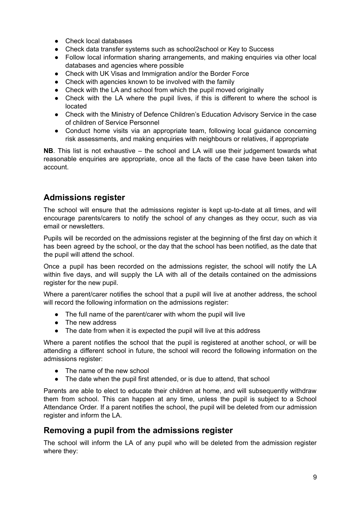- Check local databases
- Check data transfer systems such as school2school or Key to Success
- Follow local information sharing arrangements, and making enquiries via other local databases and agencies where possible
- Check with UK Visas and Immigration and/or the Border Force
- Check with agencies known to be involved with the family
- Check with the LA and school from which the pupil moved originally
- Check with the LA where the pupil lives, if this is different to where the school is located
- Check with the Ministry of Defence Children's Education Advisory Service in the case of children of Service Personnel
- Conduct home visits via an appropriate team, following local guidance concerning risk assessments, and making enquiries with neighbours or relatives, if appropriate

**NB**. This list is not exhaustive – the school and LA will use their judgement towards what reasonable enquiries are appropriate, once all the facts of the case have been taken into account.

# **Admissions register**

The school will ensure that the admissions register is kept up-to-date at all times, and will encourage parents/carers to notify the school of any changes as they occur, such as via email or newsletters.

Pupils will be recorded on the admissions register at the beginning of the first day on which it has been agreed by the school, or the day that the school has been notified, as the date that the pupil will attend the school.

Once a pupil has been recorded on the admissions register, the school will notify the LA within five days, and will supply the LA with all of the details contained on the admissions register for the new pupil.

Where a parent/carer notifies the school that a pupil will live at another address, the school will record the following information on the admissions register:

- The full name of the parent/carer with whom the pupil will live
- The new address
- The date from when it is expected the pupil will live at this address

Where a parent notifies the school that the pupil is registered at another school, or will be attending a different school in future, the school will record the following information on the admissions register:

- The name of the new school
- The date when the pupil first attended, or is due to attend, that school

Parents are able to elect to educate their children at home, and will subsequently withdraw them from school. This can happen at any time, unless the pupil is subject to a School Attendance Order. If a parent notifies the school, the pupil will be deleted from our admission register and inform the LA.

## **Removing a pupil from the admissions register**

The school will inform the LA of any pupil who will be deleted from the admission register where they: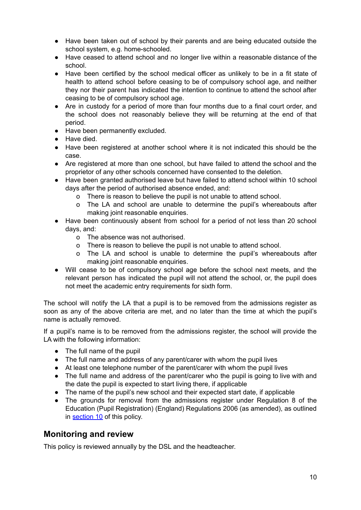- Have been taken out of school by their parents and are being educated outside the school system, e.g. home-schooled.
- Have ceased to attend school and no longer live within a reasonable distance of the school.
- Have been certified by the school medical officer as unlikely to be in a fit state of health to attend school before ceasing to be of compulsory school age, and neither they nor their parent has indicated the intention to continue to attend the school after ceasing to be of compulsory school age.
- Are in custody for a period of more than four months due to a final court order, and the school does not reasonably believe they will be returning at the end of that period.
- Have been permanently excluded.
- Have died.
- Have been registered at another school where it is not indicated this should be the case.
- Are registered at more than one school, but have failed to attend the school and the proprietor of any other schools concerned have consented to the deletion.
- Have been granted authorised leave but have failed to attend school within 10 school days after the period of authorised absence ended, and:
	- o There is reason to believe the pupil is not unable to attend school.
	- o The LA and school are unable to determine the pupil's whereabouts after making joint reasonable enquiries.
- Have been continuously absent from school for a period of not less than 20 school days, and:
	- o The absence was not authorised.
	- o There is reason to believe the pupil is not unable to attend school.
	- o The LA and school is unable to determine the pupil's whereabouts after making joint reasonable enquiries.
- Will cease to be of compulsory school age before the school next meets, and the relevant person has indicated the pupil will not attend the school, or, the pupil does not meet the academic entry requirements for sixth form.

The school will notify the LA that a pupil is to be removed from the admissions register as soon as any of the above criteria are met, and no later than the time at which the pupil's name is actually removed.

If a pupil's name is to be removed from the admissions register, the school will provide the LA with the following information:

- The full name of the pupil
- The full name and address of any parent/carer with whom the pupil lives
- At least one telephone number of the parent/carer with whom the pupil lives
- The full name and address of the parent/carer who the pupil is going to live with and the date the pupil is expected to start living there, if applicable
- The name of the pupil's new school and their expected start date, if applicable
- The grounds for removal from the admissions register under Regulation 8 of the Education (Pupil Registration) (England) Regulations 2006 (as amended), as outlined in [section](https://docs.google.com/document/d/1QjMwi8rs4Y2bZkd1mo__JNNzNA-fIRtw7pY6rTygSro/edit?ts=5c8a3165#heading=h.35nkun2) 10 of this policy.

## **Monitoring and review**

This policy is reviewed annually by the DSL and the headteacher.